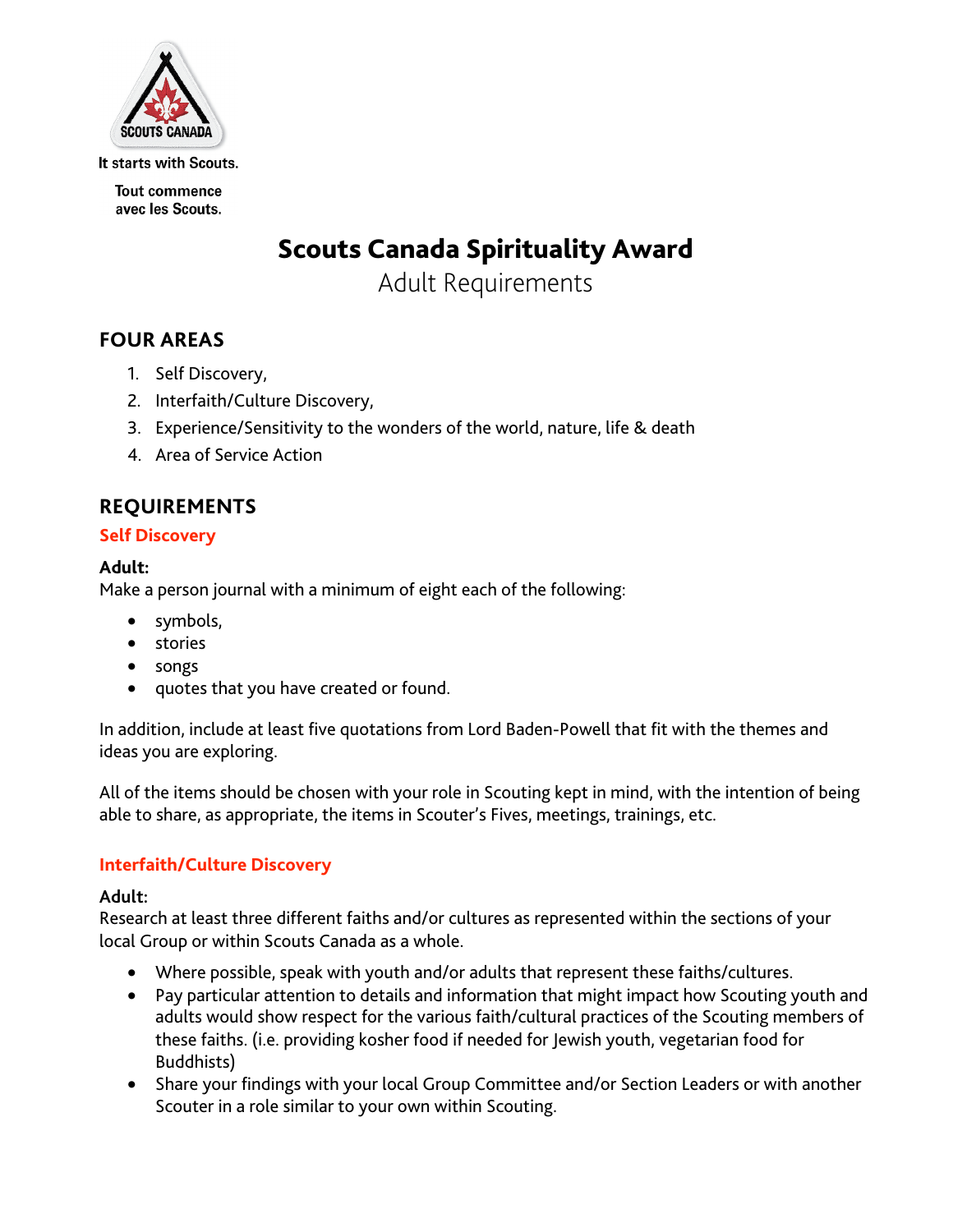

It starts with Scouts.

**Tout commence** avec les Scouts.

# Scouts Canada Spirituality Award

Adult Requirements

# **FOUR AREAS**

- 1. Self Discovery,
- 2. Interfaith/Culture Discovery,
- 3. Experience/Sensitivity to the wonders of the world, nature, life & death
- 4. Area of Service Action

# **REQUIREMENTS**

## **Self Discovery**

#### **Adult:**

Make a person journal with a minimum of eight each of the following:

- symbols,
- stories
- songs
- quotes that you have created or found.

In addition, include at least five quotations from Lord Baden-Powell that fit with the themes and ideas you are exploring.

All of the items should be chosen with your role in Scouting kept in mind, with the intention of being able to share, as appropriate, the items in Scouter's Fives, meetings, trainings, etc.

## **Interfaith/Culture Discovery**

#### **Adult:**

Research at least three different faiths and/or cultures as represented within the sections of your local Group or within Scouts Canada as a whole.

- Where possible, speak with youth and/or adults that represent these faiths/cultures.
- Pay particular attention to details and information that might impact how Scouting youth and adults would show respect for the various faith/cultural practices of the Scouting members of these faiths. (i.e. providing kosher food if needed for Jewish youth, vegetarian food for Buddhists)
- Share your findings with your local Group Committee and/or Section Leaders or with another Scouter in a role similar to your own within Scouting.